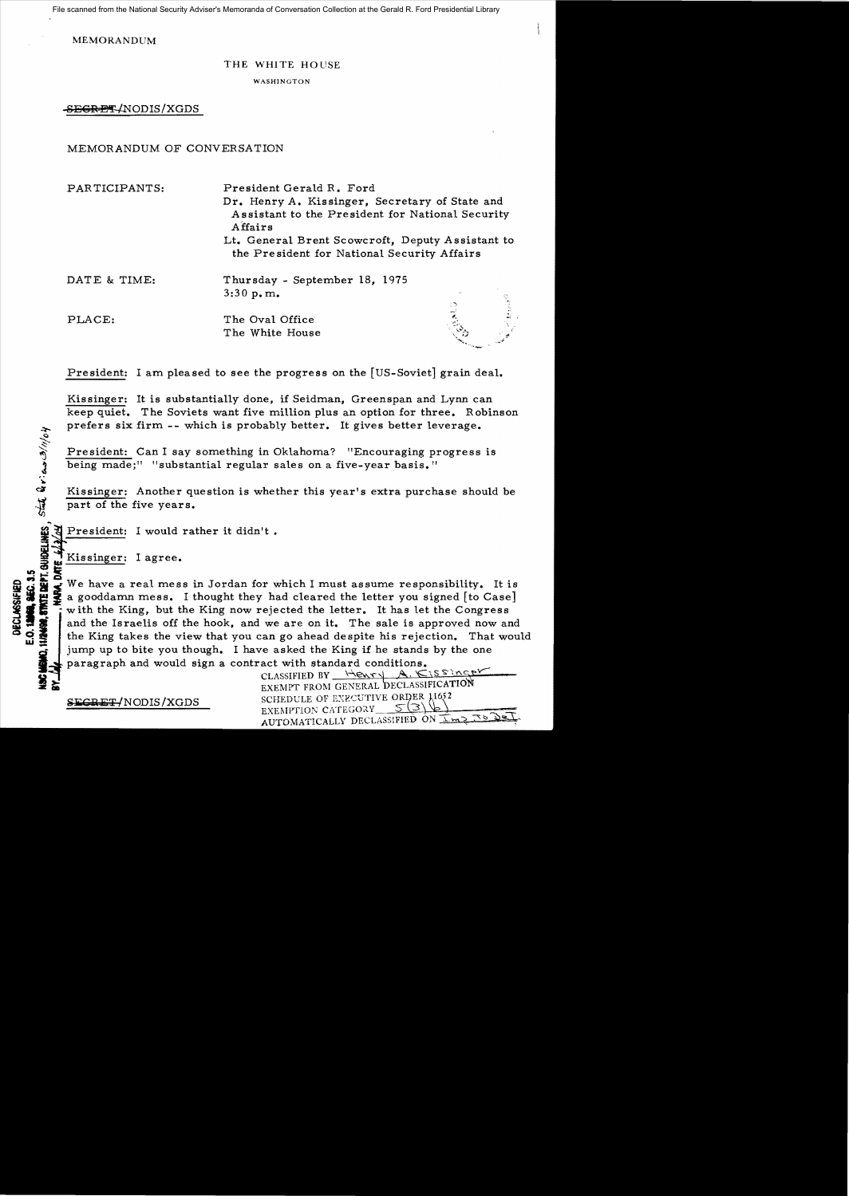File scanned from the National Security Adviser's Memoranda of Conversation Collection at the Gerald R. Ford Presidential Library

MEMORANDUM

### THE WHITE HOUSE

WASHINGTON

S<del>EGRET</del>/NODIS/XGDS

## MEMORANDUM OF CONVERSATION

| PARTICIPANTS: | President Gerald R. Ford<br>Dr. Henry A. Kissinger, Secretary of State and                      |                               |  |
|---------------|-------------------------------------------------------------------------------------------------|-------------------------------|--|
|               |                                                                                                 |                               |  |
|               | Lt. General Brent Scowcroft, Deputy Assistant to<br>the President for National Security Affairs |                               |  |
|               | DATE & TIME:                                                                                    | Thursday - September 18, 1975 |  |
|               | 3:30 p.m.                                                                                       |                               |  |
|               | 47                                                                                              |                               |  |
| PLACE:        | The Oval Office                                                                                 |                               |  |
|               | The White House                                                                                 |                               |  |

President: I am pleased to see the progress on the [US-Soviet] grain deal.

Kissinger: It is substantially done, if Seidman, Greenspan and Lynn can keep quiet. The Soviets want five million plus an option for three. Robinson prefers six firm -- which is probably better. It gives better leverage.

President: Can I say something in Oklahoma? "Encouraging progress is being made;" "substantial regular sales on a five-year basis."

Kissinger: Another question is whether this year's extra purchase should be part of the five years.

President: I would rather it didn't.<br>
So Kissinger: I agree.<br>
But Kissinger: I agree.

Kissinger: I agree.

State Griens 3/11/04

**lII)..,:tIi EXECUTE THE SET OF STATE OF A STATE OF A STATE OF A STATE OF A STATE OF A STATE OF A STATE OF A STATE OF A STATE OF A STATE OF A STATE OF A STATE OF A STATE OF A STATE OF A STATE OF A STATE OF A STATE OF A STATE OF A STAT** a gooddamn mess. I thought they had cleared the letter you signed [to Case] with the King, but the King now rejected the letter. It has let the Congress IS and the Israelis off the hook, and we are on it. The sale is approved now and  $\mathbf{G}$  the King takes the view that you can go ahead despite his rejection. That would the King takes the view that you can go ahead despite his rejection. That would jump up to bite you though. I have asked the King if he stands by the one paragraph and would sign a contract with standard conditions.

| र जुल्ला<br>इन्दर् | .<br>SECRET/NODIS/XGDS | CLASSIFIED BY Henry A. KISSINGER<br>EXEMPT FROM GENERAL DECLASSIFICATION<br>SCHEDULE OF EXECUTIVE ORDER 11652<br>EXEMPTION CATEGORY<br>AUTOMATICALLY DECLASSIFIED ON I'M 2 TO |  |
|--------------------|------------------------|-------------------------------------------------------------------------------------------------------------------------------------------------------------------------------|--|
|                    |                        |                                                                                                                                                                               |  |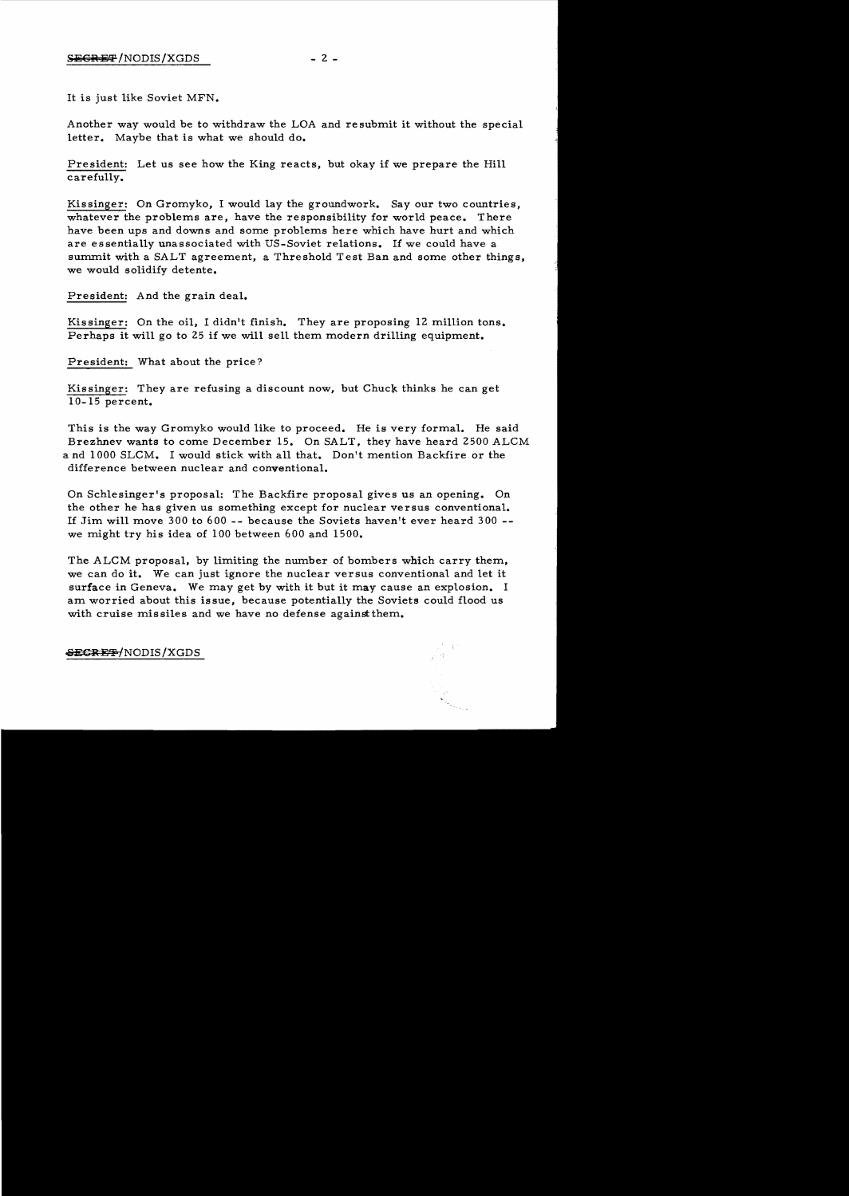# $S \to \text{S} \to 2 -$

It is just like Soviet MFN.

Another way would be to withdraw the LOA and re submit it without the special letter. Maybe that is what we should do.

President: Let us see how the King reacts, but okay if we prepare the Hill carefully.

Kissinger: On Gromyko, I would lay the groundwork. Say our two countries, whatever the problems are, have the responsibility for world peace. There have been ups and downs and some problems here which have hurt and which are essentially unassociated with US-Soviet relations. If we could have a summit with a SALT agreement, a Threshold Test Ban and some other things, we would solidify detente.

President: And the grain deal.

Kissinger: On the oil, I didn't finish. They are proposing 12 million tons. Perhaps it will go to 25 if we will sell them modern drilling equipment.

President: What about the price?

Kissinger: They are refusing a discount now, but Chuck thinks he can get 10-15 percent.

This is the way Gromyko would like to proceed. He is very formal. He said Brezhnev wants to come December 15. On SALT, they have heard 2500 ALCM a nd 1000 SLCM. I would stick with all that. Don't mention Backfire or the difference between nuclear and conventional.

On Schlesinger's proposal: The Backfire proposal gives us an opening. On the other he has given us something except for nuclear versus conventional. If Jim will move 300 to 600 -- because the Soviets haven't ever heard 300 we might try his idea of 100 between 600 and 1500.

The ALCM proposal, by limiting the number of bombers which carry them, we can do it. We can just ignore the nuclear versus conventional and let it surface in Geneva. We may get by with it but it may cause an explosion. I am worried about this issue, because potentially the Soviets could flood us with cruise missiles and we have no defense against them.

a Nijeri

**&EGREF/NODIS/XGDS**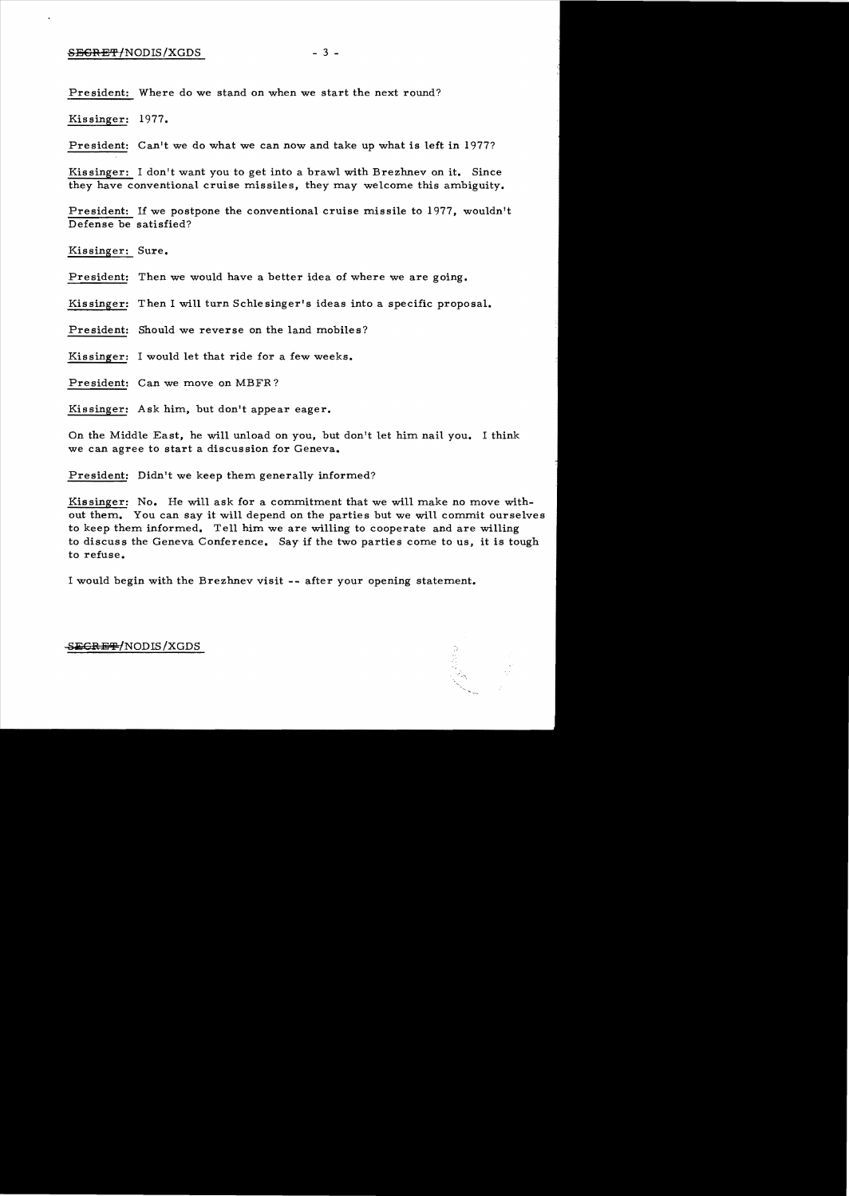### $SEGREF/NODIS/XGDS$  - 3 -

President: Where do we stand on when we start the next round?

Kis singer: 1977.

President: Can't we do what we can now and take up what is left in 1977?

Kissinger: I don't want you to get into a brawl with Brezhnev on it. Since they have conventional cruise missiles, they may welcome this ambiguity.

President: If we postpone the conventional cruise missile to 1977, wouldn't Defense be satisfied?

Kissinger: Sure.

President: Then we would have a better idea of where we are going.

Kis singer: Then I will turn Schle singer's ideas into a specific proposal.

President: Should we reverse on the land mobiles?

Kissinger: I would let that ride for a few weeks.

President: Can we move on MBFR?

Kissinger: Ask him, but don't appear eager.

On the Middle East, he will unload on you, but don't let him nail you. I think we can agree to start a discussion for Geneva.

President: Didn't we keep them generally informed?

Kissinger: No. He will ask for a commitment that we will make no move without them. You can say it will depend on the parties but we will commit ourselves to keep them informed. Tell him we are willing to cooperate and are willing to discuss the Geneva Conference. Say if the two parties come to us, it is tough to refuse.

I would begin with the Brezhnev visit -- after your opening statement.

### SE<del>CRET/</del>NODIS/XGDS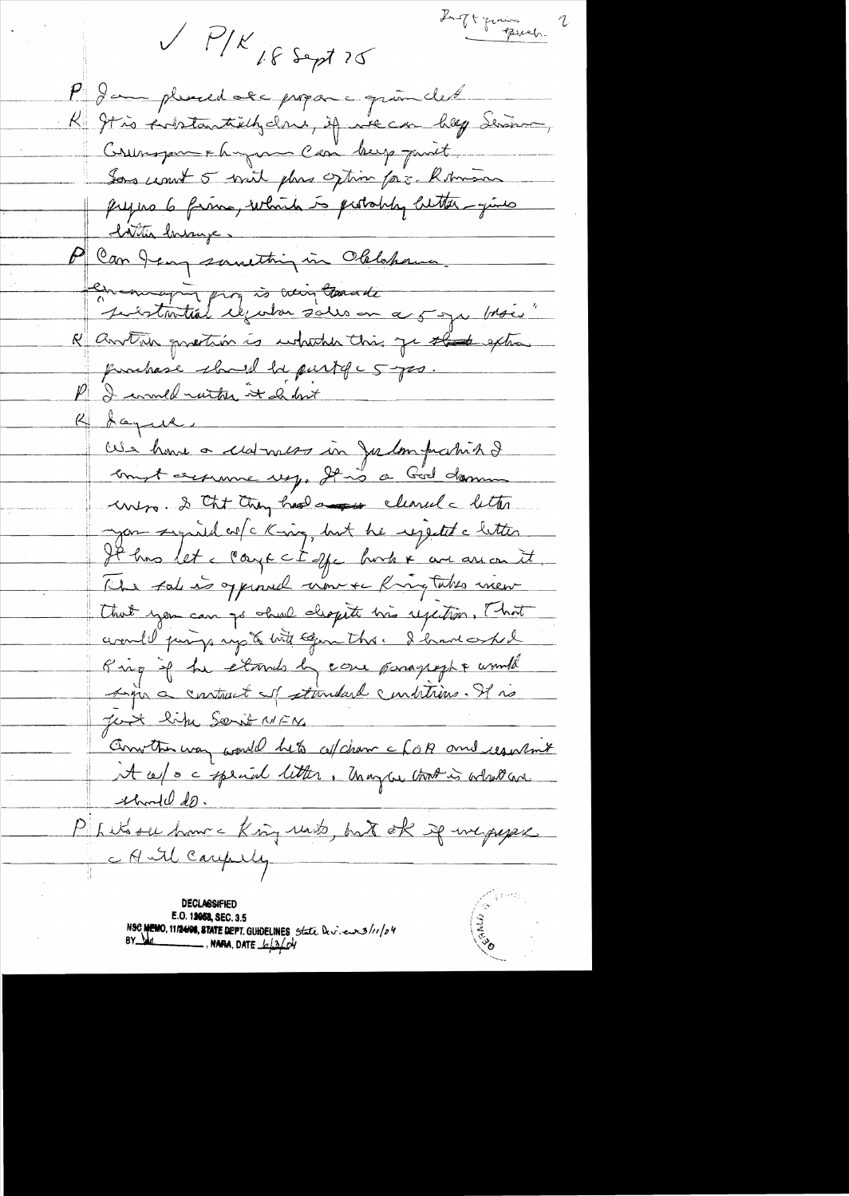Ligning 2  $V/V$  if sept 25 P Jam plused at propon grandet K It is subtaintially done, if we can hap Serion, Commagnement la grave Casi burg part. Sons usunt 5 with plans often for himmon prejus 6 finns, which is probably better-gives <u> Inttin Invanze,</u> P Can Jean sunstiting in Oblohan en major pour à voir tous de R another quantion is which this go that extra prochase show be purty c 5 yes I comed with it had <u>Reques</u> cela home a cedrais in Julon prahise empt exercune ug, It is a God domme unero. I that they had a now cleaned a letter you symid w/c King, but he regented a letter It has let a coarge cit offer harder are arrived it like take is appened where Ringtakes ween that you can go shall cleopete his regestion, That avende partys up & bit segun this. I have asked Ring if he elmis by care paragreph & would Ligin a contract of standard conditions. It is Just like Sorit NEN Convertion was would bet cof chan a for and result it cept a complaint litter. Unay au trat is what are <u>indel do.</u> PILUS se homme King rats, but ok je ineperpe CAM Carefully DECLASSIFIED E.O. 12058, SEC. 3.5 NSC MEMO, 11/24/08, STATE DEPT. GUIDELINES State Dev. eurs/11/04

 $\frac{1}{2}$ , NARA, DATE  $\frac{1}{2}$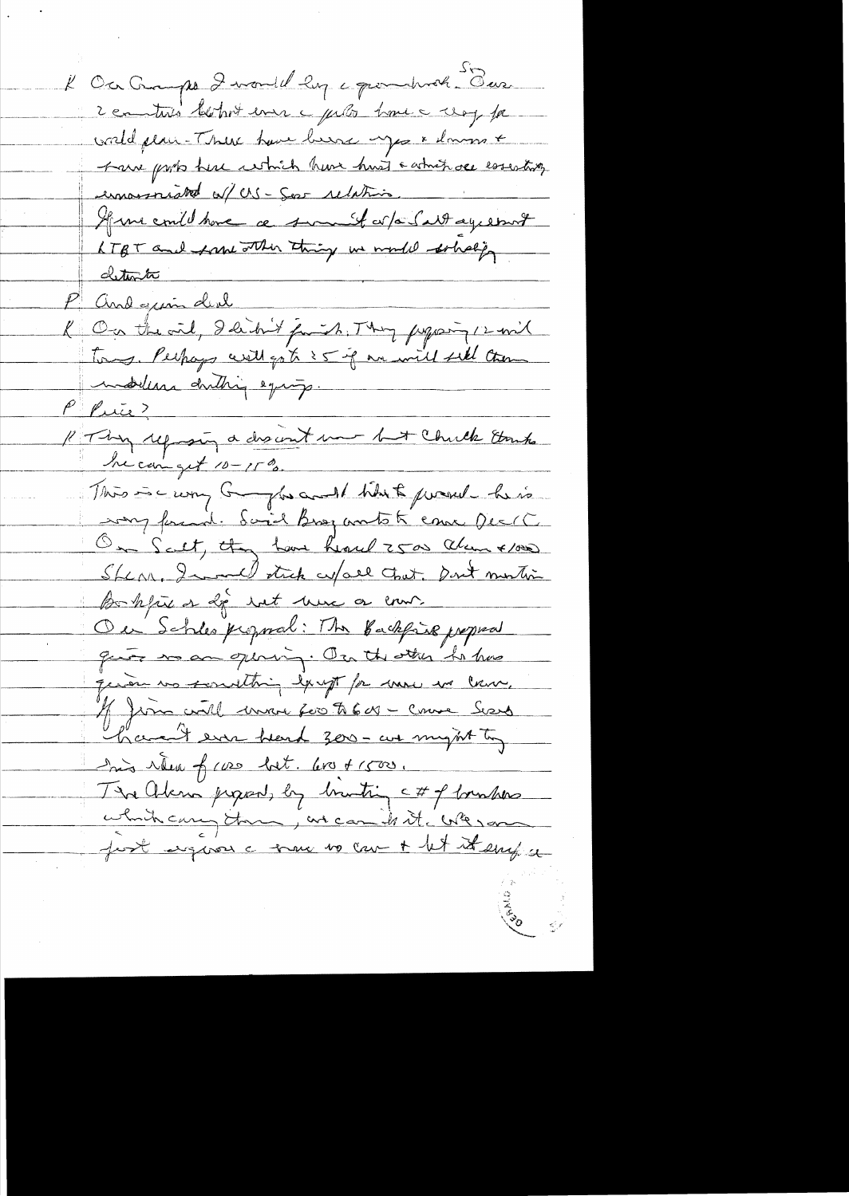K Ou Campo 2 vaul leg c pour votr dur 2 contrats letros en c peto home a vog fa world plain-There have been you & down + have pris the which have hust a which ore essenting emmersnicht a/ US - Ser relative Mme could have a summer or a last ayes mot LTBT and free other thing in model solvely deterts P and guin deal<br>K On the oil, I didn't jumil. They proposite com! modelers duting equip. Philip P Piece?<br>P Thy reprogram a discount mont but Chick Etrap Incarnight 10-15%. This is carry Graphs and I think proved he is way found. Said Brog antote came Deck On Scrit, they have heard 2500 alun x100 Sherr, Iwould stick up all that, pout montion Bohjuer de tot here or cour. Ou Schles proposal: The Backford proposal gues man quinn. On the other ha has quoi no sontthing large for more we law. 15 juin coutel mon for to 600 - comme Series have the was heard 300 - we might to his riter of case but. Los + 1500. The Alena proport, by bruting c# of bombers which carry the , we can it it we sam post signos a trane no can + let it emp a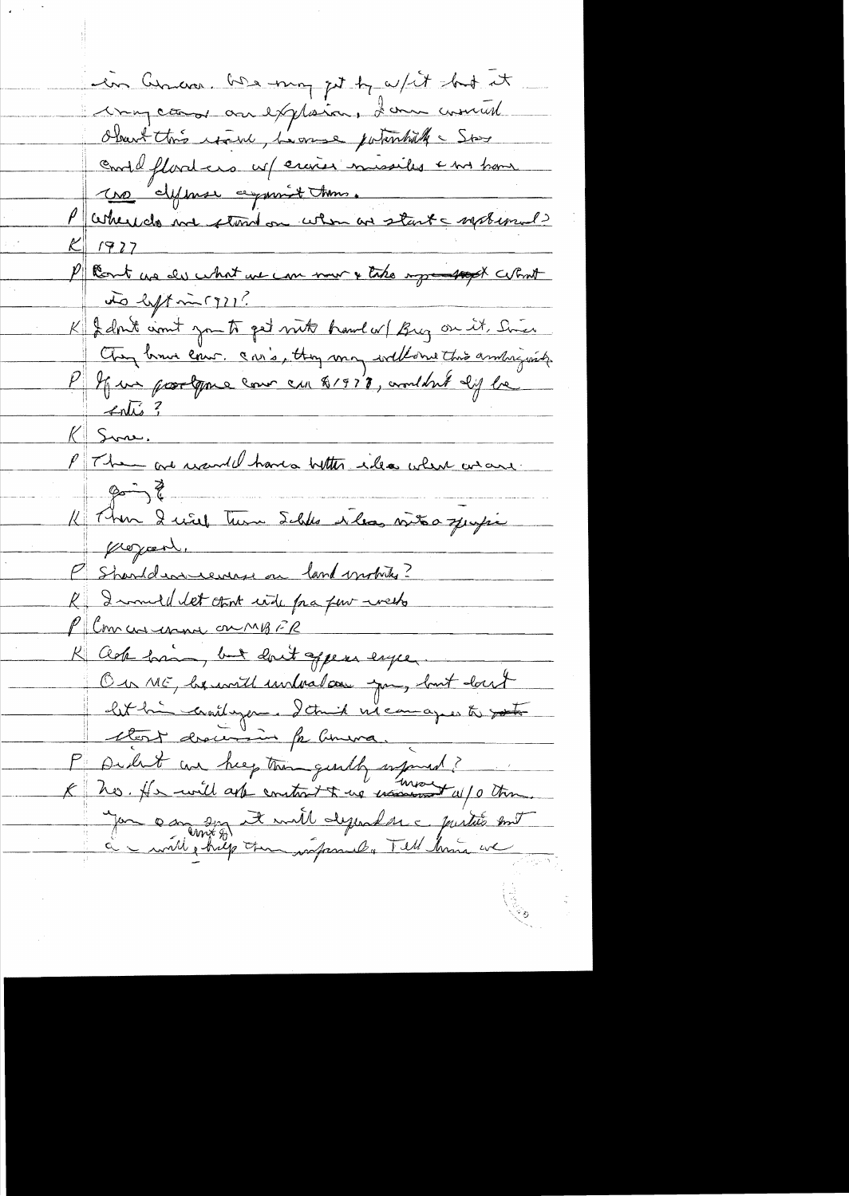in Currence, here may get by whit had it ingcomes au exploien, danne comment Obart this result, house pointed Star contéflanters né croires missiles en trous une elipinese comment toms. Parkeredo me stond on when are start - systemals 1927 P leant us der what we can now & take ingressed what do left mi (911? K & don't simil you to get mit brand w/ Bug on it, Since<br>Change low and cour. and they may willow this andriguity<br>P If we poortpour low can 81978, and but lift be  $\rightarrow$ K Then I will turn Schles ilas vitro quipi P Sharldrameeners on land motives? R I would let cont with faa four week P Commentance on MBFR K ack har, but don't appear enger Ou ME, beaucill included you, but don't let him craîtagem. Detruit ne comagnes to sont Clerk dracimin fr Comma P Didn't au hieg trongently informed? in a moth internation printer en